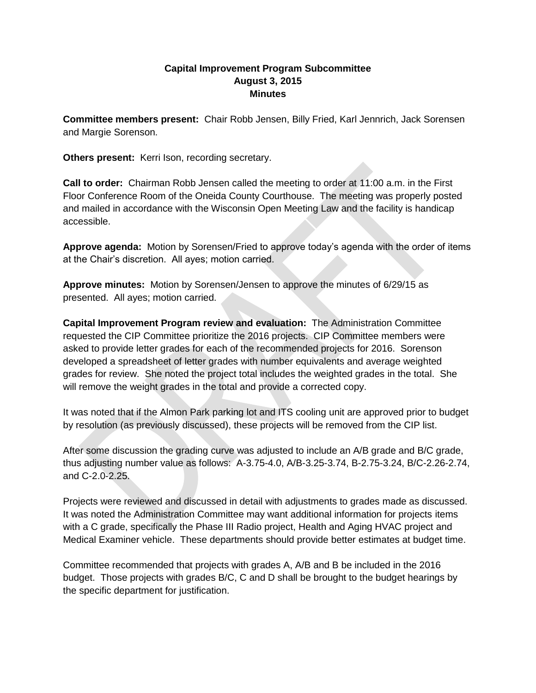## **Capital Improvement Program Subcommittee August 3, 2015 Minutes**

**Committee members present:** Chair Robb Jensen, Billy Fried, Karl Jennrich, Jack Sorensen and Margie Sorenson.

**Others present:** Kerri Ison, recording secretary.

**Call to order:** Chairman Robb Jensen called the meeting to order at 11:00 a.m. in the First Floor Conference Room of the Oneida County Courthouse. The meeting was properly posted and mailed in accordance with the Wisconsin Open Meeting Law and the facility is handicap accessible.

**Approve agenda:** Motion by Sorensen/Fried to approve today's agenda with the order of items at the Chair's discretion. All ayes; motion carried.

**Approve minutes:** Motion by Sorensen/Jensen to approve the minutes of 6/29/15 as presented. All ayes; motion carried.

**Capital Improvement Program review and evaluation:** The Administration Committee requested the CIP Committee prioritize the 2016 projects. CIP Committee members were asked to provide letter grades for each of the recommended projects for 2016. Sorenson developed a spreadsheet of letter grades with number equivalents and average weighted grades for review. She noted the project total includes the weighted grades in the total. She will remove the weight grades in the total and provide a corrected copy.

It was noted that if the Almon Park parking lot and ITS cooling unit are approved prior to budget by resolution (as previously discussed), these projects will be removed from the CIP list.

After some discussion the grading curve was adjusted to include an A/B grade and B/C grade, thus adjusting number value as follows: A-3.75-4.0, A/B-3.25-3.74, B-2.75-3.24, B/C-2.26-2.74, and C-2.0-2.25.

Projects were reviewed and discussed in detail with adjustments to grades made as discussed. It was noted the Administration Committee may want additional information for projects items with a C grade, specifically the Phase III Radio project, Health and Aging HVAC project and Medical Examiner vehicle. These departments should provide better estimates at budget time.

Committee recommended that projects with grades A, A/B and B be included in the 2016 budget. Those projects with grades B/C, C and D shall be brought to the budget hearings by the specific department for justification.